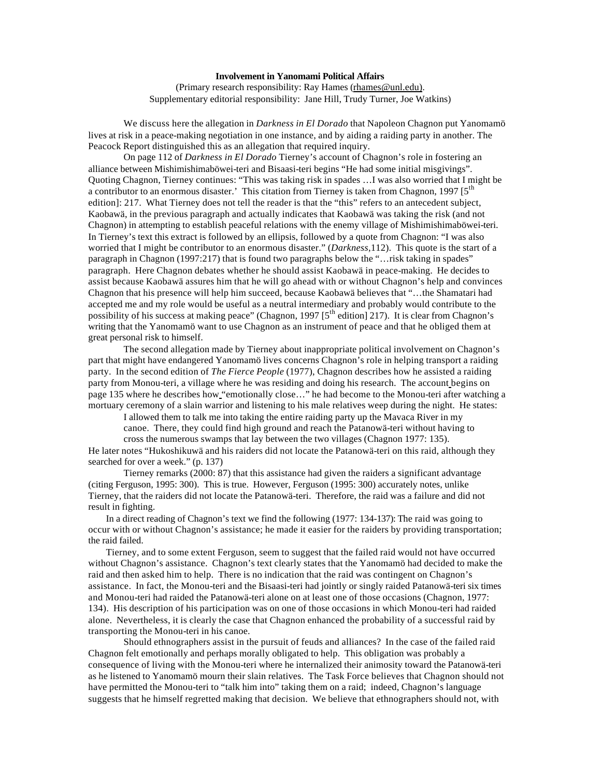## **Involvement in Yanomami Political Affairs**

(Primary research responsibility: Ray Hames (rhames@unl.edu). Supplementary editorial responsibility: Jane Hill, Trudy Turner, Joe Watkins)

We discuss here the allegation in *Darkness in El Dorado* that Napoleon Chagnon put Yanomamö lives at risk in a peace-making negotiation in one instance, and by aiding a raiding party in another. The Peacock Report distinguished this as an allegation that required inquiry.

On page 112 of *Darkness in El Dorado* Tierney's account of Chagnon's role in fostering an alliance between Mishimishimaböwei-teri and Bisaasi-teri begins "He had some initial misgivings". Quoting Chagnon, Tierney continues: "This was taking risk in spades …I was also worried that I might be a contributor to an enormous disaster.' This citation from Tierney is taken from Chagnon, 1997 [5<sup>th</sup> edition]: 217. What Tierney does not tell the reader is that the "this" refers to an antecedent subject, Kaobawä, in the previous paragraph and actually indicates that Kaobawä was taking the risk (and not Chagnon) in attempting to establish peaceful relations with the enemy village of Mishimishimaböwei-teri. In Tierney's text this extract is followed by an ellipsis, followed by a quote from Chagnon: "I was also worried that I might be contributor to an enormous disaster." (*Darkness,*112). This quote is the start of a paragraph in Chagnon (1997:217) that is found two paragraphs below the "…risk taking in spades" paragraph. Here Chagnon debates whether he should assist Kaobawä in peace-making. He decides to assist because Kaobawä assures him that he will go ahead with or without Chagnon's help and convinces Chagnon that his presence will help him succeed, because Kaobawä believes that "…the Shamatari had accepted me and my role would be useful as a neutral intermediary and probably would contribute to the possibility of his success at making peace" (Chagnon, 1997  $5<sup>th</sup>$  edition] 217). It is clear from Chagnon's writing that the Yanomamö want to use Chagnon as an instrument of peace and that he obliged them at great personal risk to himself.

The second allegation made by Tierney about inappropriate political involvement on Chagnon's part that might have endangered Yanomamö lives concerns Chagnon's role in helping transport a raiding party. In the second edition of *The Fierce People* (1977), Chagnon describes how he assisted a raiding party from Monou-teri, a village where he was residing and doing his research. The account begins on page 135 where he describes how "emotionally close…" he had become to the Monou-teri after watching a mortuary ceremony of a slain warrior and listening to his male relatives weep during the night. He states:

I allowed them to talk me into taking the entire raiding party up the Mavaca River in my canoe. There, they could find high ground and reach the Patanowä-teri without having to

cross the numerous swamps that lay between the two villages (Chagnon 1977: 135).

He later notes "Hukoshikuwä and his raiders did not locate the Patanowä-teri on this raid, although they searched for over a week." (p. 137)

Tierney remarks (2000: 87) that this assistance had given the raiders a significant advantage (citing Ferguson, 1995: 300). This is true. However, Ferguson (1995: 300) accurately notes, unlike Tierney, that the raiders did not locate the Patanowä-teri. Therefore, the raid was a failure and did not result in fighting.

In a direct reading of Chagnon's text we find the following (1977: 134-137): The raid was going to occur with or without Chagnon's assistance; he made it easier for the raiders by providing transportation; the raid failed.

Tierney, and to some extent Ferguson, seem to suggest that the failed raid would not have occurred without Chagnon's assistance. Chagnon's text clearly states that the Yanomamö had decided to make the raid and then asked him to help. There is no indication that the raid was contingent on Chagnon's assistance. In fact, the Monou-teri and the Bisaasi-teri had jointly or singly raided Patanowä-teri six times and Monou-teri had raided the Patanowä-teri alone on at least one of those occasions (Chagnon, 1977: 134). His description of his participation was on one of those occasions in which Monou-teri had raided alone. Nevertheless, it is clearly the case that Chagnon enhanced the probability of a successful raid by transporting the Monou-teri in his canoe.

Should ethnographers assist in the pursuit of feuds and alliances? In the case of the failed raid Chagnon felt emotionally and perhaps morally obligated to help. This obligation was probably a consequence of living with the Monou-teri where he internalized their animosity toward the Patanowä-teri as he listened to Yanomamö mourn their slain relatives. The Task Force believes that Chagnon should not have permitted the Monou-teri to "talk him into" taking them on a raid; indeed, Chagnon's language suggests that he himself regretted making that decision. We believe that ethnographers should not, with